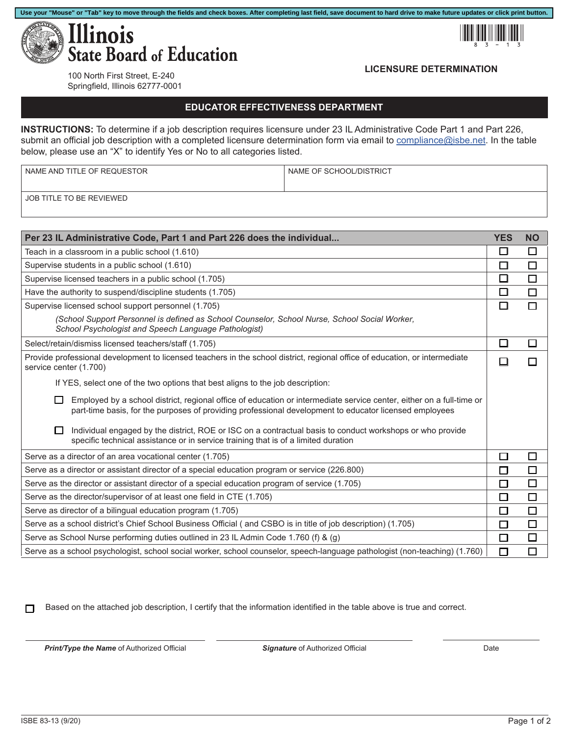



## **LICENSURE DETERMINATION**

100 North First Street, E-240 Springfield, Illinois 62777-0001

## **EDUCATOR EFFECTIVENESS DEPARTMENT**

**INSTRUCTIONS:** To determine if a job description requires licensure under 23 IL Administrative Code Part 1 and Part 226, submit an official job description with a completed licensure determination form via email to [compliance@isbe.net.](mailto:compliance%40isbe.net?subject=) In the table below, please use an "X" to identify Yes or No to all categories listed.

| NAME AND TITLE OF REQUESTOR | I NAME OF SCHOOL/DISTRICT |
|-----------------------------|---------------------------|
| JOB TITLE TO BE REVIEWED    |                           |

| Per 23 IL Administrative Code, Part 1 and Part 226 does the individual                                                                                                                                                                   |        | <b>NO</b> |
|------------------------------------------------------------------------------------------------------------------------------------------------------------------------------------------------------------------------------------------|--------|-----------|
| Teach in a classroom in a public school (1.610)                                                                                                                                                                                          | П      | $\Box$    |
| Supervise students in a public school (1.610)                                                                                                                                                                                            | □      | □         |
| Supervise licensed teachers in a public school (1.705)                                                                                                                                                                                   |        | $\Box$    |
| Have the authority to suspend/discipline students (1.705)                                                                                                                                                                                | □      | $\Box$    |
| Supervise licensed school support personnel (1.705)                                                                                                                                                                                      | П      | П         |
| (School Support Personnel is defined as School Counselor, School Nurse, School Social Worker,<br>School Psychologist and Speech Language Pathologist)                                                                                    |        |           |
| Select/retain/dismiss licensed teachers/staff (1.705)                                                                                                                                                                                    | $\Box$ | П         |
| Provide professional development to licensed teachers in the school district, regional office of education, or intermediate<br>service center (1.700)                                                                                    |        |           |
| If YES, select one of the two options that best aligns to the job description:                                                                                                                                                           |        |           |
| Employed by a school district, regional office of education or intermediate service center, either on a full-time or<br>$\Box$<br>part-time basis, for the purposes of providing professional development to educator licensed employees |        |           |
| Individual engaged by the district, ROE or ISC on a contractual basis to conduct workshops or who provide<br>П<br>specific technical assistance or in service training that is of a limited duration                                     |        |           |
| Serve as a director of an area vocational center (1.705)                                                                                                                                                                                 |        | □         |
| Serve as a director or assistant director of a special education program or service (226.800)                                                                                                                                            |        | $\Box$    |
| Serve as the director or assistant director of a special education program of service (1.705)                                                                                                                                            |        | $\Box$    |
| Serve as the director/supervisor of at least one field in CTE (1.705)                                                                                                                                                                    |        | $\Box$    |
| Serve as director of a bilingual education program (1.705)                                                                                                                                                                               |        | $\Box$    |
| Serve as a school district's Chief School Business Official (and CSBO is in title of job description) (1.705)                                                                                                                            |        | $\Box$    |
| Serve as School Nurse performing duties outlined in 23 IL Admin Code 1.760 (f) & (g)                                                                                                                                                     |        | $\Box$    |
| Serve as a school psychologist, school social worker, school counselor, speech-language pathologist (non-teaching) (1.760)                                                                                                               |        | П         |

Based on the attached job description, I certify that the information identified in the table above is true and correct.  $\Box$ 

*Print/Type the Name* of Authorized Official *Signature* of Authorized Official Date